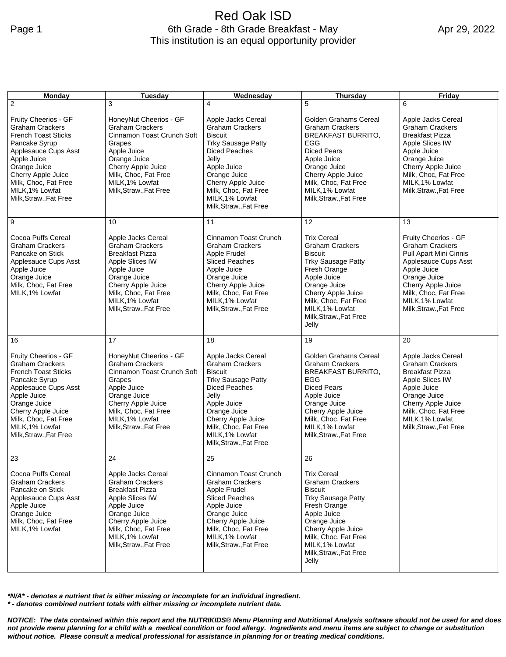## Red Oak ISD Page 1 6th Grade - 8th Grade Breakfast - May This institution is an equal opportunity provider

| <b>Monday</b>                                                                                                                                                                                                                                   | <b>Tuesday</b>                                                                                                                                                                                                      | Wednesday                                                                                                                                                                                                                                              | <b>Thursday</b>                                                                                                                                                                                                                                   | Friday                                                                                                                                                                                                                     |
|-------------------------------------------------------------------------------------------------------------------------------------------------------------------------------------------------------------------------------------------------|---------------------------------------------------------------------------------------------------------------------------------------------------------------------------------------------------------------------|--------------------------------------------------------------------------------------------------------------------------------------------------------------------------------------------------------------------------------------------------------|---------------------------------------------------------------------------------------------------------------------------------------------------------------------------------------------------------------------------------------------------|----------------------------------------------------------------------------------------------------------------------------------------------------------------------------------------------------------------------------|
| $\overline{2}$                                                                                                                                                                                                                                  | 3                                                                                                                                                                                                                   | 4                                                                                                                                                                                                                                                      | 5                                                                                                                                                                                                                                                 | 6                                                                                                                                                                                                                          |
| Fruity Cheerios - GF<br><b>Graham Crackers</b><br><b>French Toast Sticks</b><br>Pancake Syrup<br>Applesauce Cups Asst<br>Apple Juice<br>Orange Juice<br>Cherry Apple Juice<br>Milk, Choc, Fat Free<br>MILK, 1% Lowfat<br>Milk, Straw., Fat Free | HoneyNut Cheerios - GF<br><b>Graham Crackers</b><br>Cinnamon Toast Crunch Soft<br>Grapes<br>Apple Juice<br>Orange Juice<br>Cherry Apple Juice<br>Milk, Choc, Fat Free<br>MILK, 1% Lowfat<br>Milk, Straw., Fat Free  | Apple Jacks Cereal<br><b>Graham Crackers</b><br><b>Biscuit</b><br><b>Trky Sausage Patty</b><br><b>Diced Peaches</b><br>Jelly<br>Apple Juice<br>Orange Juice<br>Cherry Apple Juice<br>Milk, Choc, Fat Free<br>MILK, 1% Lowfat<br>Milk, Straw., Fat Free | <b>Golden Grahams Cereal</b><br><b>Graham Crackers</b><br><b>BREAKFAST BURRITO,</b><br><b>EGG</b><br><b>Diced Pears</b><br>Apple Juice<br>Orange Juice<br>Cherry Apple Juice<br>Milk, Choc, Fat Free<br>MILK, 1% Lowfat<br>Milk, Straw., Fat Free | Apple Jacks Cereal<br><b>Graham Crackers</b><br><b>Breakfast Pizza</b><br>Apple Slices IW<br>Apple Juice<br>Orange Juice<br>Cherry Apple Juice<br>Milk, Choc, Fat Free<br>MILK, 1% Lowfat<br>Milk, Straw., Fat Free        |
| 9                                                                                                                                                                                                                                               | 10                                                                                                                                                                                                                  | 11                                                                                                                                                                                                                                                     | 12                                                                                                                                                                                                                                                | 13                                                                                                                                                                                                                         |
| Cocoa Puffs Cereal<br><b>Graham Crackers</b><br>Pancake on Stick<br>Applesauce Cups Asst<br>Apple Juice<br>Orange Juice<br>Milk, Choc, Fat Free<br>MILK, 1% Lowfat                                                                              | Apple Jacks Cereal<br><b>Graham Crackers</b><br><b>Breakfast Pizza</b><br>Apple Slices IW<br>Apple Juice<br>Orange Juice<br>Cherry Apple Juice<br>Milk, Choc, Fat Free<br>MILK, 1% Lowfat<br>Milk, Straw., Fat Free | Cinnamon Toast Crunch<br><b>Graham Crackers</b><br>Apple Frudel<br><b>Sliced Peaches</b><br>Apple Juice<br>Orange Juice<br>Cherry Apple Juice<br>Milk, Choc, Fat Free<br>MILK, 1% Lowfat<br>Milk, Straw., Fat Free                                     | <b>Trix Cereal</b><br><b>Graham Crackers</b><br><b>Biscuit</b><br><b>Trky Sausage Patty</b><br>Fresh Orange<br>Apple Juice<br>Orange Juice<br>Cherry Apple Juice<br>Milk, Choc, Fat Free<br>MILK, 1% Lowfat<br>Milk, Straw., Fat Free<br>Jelly    | Fruity Cheerios - GF<br><b>Graham Crackers</b><br>Pull Apart Mini Cinnis<br>Applesauce Cups Asst<br>Apple Juice<br>Orange Juice<br>Cherry Apple Juice<br>Milk, Choc, Fat Free<br>MILK, 1% Lowfat<br>Milk, Straw., Fat Free |
| 16                                                                                                                                                                                                                                              | 17                                                                                                                                                                                                                  | 18                                                                                                                                                                                                                                                     | 19                                                                                                                                                                                                                                                | 20                                                                                                                                                                                                                         |
| Fruity Cheerios - GF<br><b>Graham Crackers</b><br><b>French Toast Sticks</b><br>Pancake Syrup<br>Applesauce Cups Asst<br>Apple Juice<br>Orange Juice<br>Cherry Apple Juice<br>Milk, Choc, Fat Free<br>MILK, 1% Lowfat<br>Milk, Straw., Fat Free | HoneyNut Cheerios - GF<br><b>Graham Crackers</b><br>Cinnamon Toast Crunch Soft<br>Grapes<br>Apple Juice<br>Orange Juice<br>Cherry Apple Juice<br>Milk, Choc, Fat Free<br>MILK, 1% Lowfat<br>Milk, Straw., Fat Free  | Apple Jacks Cereal<br><b>Graham Crackers</b><br><b>Biscuit</b><br><b>Trky Sausage Patty</b><br><b>Diced Peaches</b><br>Jelly<br>Apple Juice<br>Orange Juice<br>Cherry Apple Juice<br>Milk, Choc, Fat Free<br>MILK, 1% Lowfat<br>Milk, Straw., Fat Free | Golden Grahams Cereal<br><b>Graham Crackers</b><br><b>BREAKFAST BURRITO,</b><br>EGG<br><b>Diced Pears</b><br>Apple Juice<br>Orange Juice<br>Cherry Apple Juice<br>Milk, Choc, Fat Free<br>MILK, 1% Lowfat<br>Milk, Straw., Fat Free               | Apple Jacks Cereal<br><b>Graham Crackers</b><br><b>Breakfast Pizza</b><br>Apple Slices IW<br>Apple Juice<br>Orange Juice<br>Cherry Apple Juice<br>Milk, Choc, Fat Free<br>MILK, 1% Lowfat<br>Milk, Straw., Fat Free        |
| 23                                                                                                                                                                                                                                              | 24                                                                                                                                                                                                                  | 25                                                                                                                                                                                                                                                     | 26                                                                                                                                                                                                                                                |                                                                                                                                                                                                                            |
| Cocoa Puffs Cereal<br><b>Graham Crackers</b><br>Pancake on Stick<br>Applesauce Cups Asst<br>Apple Juice<br>Orange Juice<br>Milk, Choc, Fat Free<br>MILK, 1% Lowfat                                                                              | Apple Jacks Cereal<br><b>Graham Crackers</b><br><b>Breakfast Pizza</b><br>Apple Slices IW<br>Apple Juice<br>Orange Juice<br>Cherry Apple Juice<br>Milk, Choc, Fat Free<br>MILK, 1% Lowfat<br>Milk, Straw., Fat Free | Cinnamon Toast Crunch<br><b>Graham Crackers</b><br>Apple Frudel<br><b>Sliced Peaches</b><br>Apple Juice<br>Orange Juice<br>Cherry Apple Juice<br>Milk, Choc, Fat Free<br>MILK.1% Lowfat<br>Milk, Straw., Fat Free                                      | <b>Trix Cereal</b><br><b>Graham Crackers</b><br><b>Biscuit</b><br><b>Trky Sausage Patty</b><br>Fresh Orange<br>Apple Juice<br>Orange Juice<br>Cherry Apple Juice<br>Milk, Choc, Fat Free<br>MILK, 1% Lowfat<br>Milk, Straw., Fat Free<br>Jelly    |                                                                                                                                                                                                                            |

*\*N/A\* - denotes a nutrient that is either missing or incomplete for an individual ingredient.*

*\* - denotes combined nutrient totals with either missing or incomplete nutrient data.*

*NOTICE: The data contained within this report and the NUTRIKIDS® Menu Planning and Nutritional Analysis software should not be used for and does not provide menu planning for a child with a medical condition or food allergy. Ingredients and menu items are subject to change or substitution without notice. Please consult a medical professional for assistance in planning for or treating medical conditions.*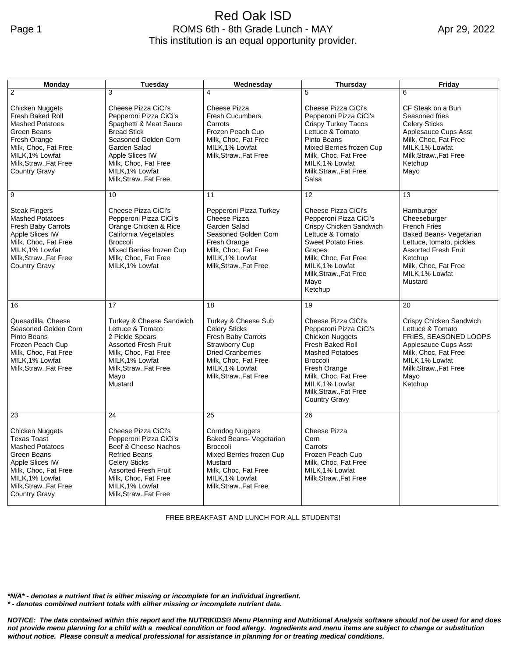## Red Oak ISD Page 1 **ROMS** 6th - 8th Grade Lunch - MAY This institution is an equal opportunity provider.

| Monday                                                                                                                                                                                           | <b>Tuesday</b>                                                                                                                                                                                                               | <b>Wednesday</b>                                                                                                                                                                            | <b>Thursday</b>                                                                                                                                                                                                                         | Friday                                                                                                                                                                                                  |
|--------------------------------------------------------------------------------------------------------------------------------------------------------------------------------------------------|------------------------------------------------------------------------------------------------------------------------------------------------------------------------------------------------------------------------------|---------------------------------------------------------------------------------------------------------------------------------------------------------------------------------------------|-----------------------------------------------------------------------------------------------------------------------------------------------------------------------------------------------------------------------------------------|---------------------------------------------------------------------------------------------------------------------------------------------------------------------------------------------------------|
| $\overline{2}$                                                                                                                                                                                   | 3                                                                                                                                                                                                                            | 4                                                                                                                                                                                           | 5                                                                                                                                                                                                                                       | 6                                                                                                                                                                                                       |
| <b>Chicken Nuggets</b><br>Fresh Baked Roll<br><b>Mashed Potatoes</b><br>Green Beans<br>Fresh Orange<br>Milk, Choc, Fat Free<br>MILK, 1% Lowfat<br>Milk, Straw., Fat Free<br><b>Country Gravy</b> | Cheese Pizza CiCi's<br>Pepperoni Pizza CiCi's<br>Spaghetti & Meat Sauce<br><b>Bread Stick</b><br>Seasoned Golden Corn<br>Garden Salad<br>Apple Slices IW<br>Milk, Choc, Fat Free<br>MILK.1% Lowfat<br>Milk, Straw., Fat Free | Cheese Pizza<br><b>Fresh Cucumbers</b><br>Carrots<br>Frozen Peach Cup<br>Milk, Choc, Fat Free<br>MILK.1% Lowfat<br>Milk, Straw., Fat Free                                                   | Cheese Pizza CiCi's<br>Pepperoni Pizza CiCi's<br>Crispy Turkey Tacos<br>Lettuce & Tomato<br>Pinto Beans<br>Mixed Berries frozen Cup<br>Milk, Choc, Fat Free<br>MILK, 1% Lowfat<br>Milk, Straw., Fat Free<br>Salsa                       | CF Steak on a Bun<br>Seasoned fries<br><b>Celery Sticks</b><br>Applesauce Cups Asst<br>Milk, Choc, Fat Free<br>MILK, 1% Lowfat<br>Milk, Straw., Fat Free<br>Ketchup<br>Mayo                             |
| 9                                                                                                                                                                                                | 10                                                                                                                                                                                                                           | 11                                                                                                                                                                                          | 12                                                                                                                                                                                                                                      | 13                                                                                                                                                                                                      |
| <b>Steak Fingers</b><br><b>Mashed Potatoes</b><br>Fresh Baby Carrots<br>Apple Slices IW<br>Milk, Choc, Fat Free<br>MILK, 1% Lowfat<br>Milk, Straw., Fat Free<br><b>Country Gravy</b>             | Cheese Pizza CiCi's<br>Pepperoni Pizza CiCi's<br>Orange Chicken & Rice<br>California Vegetables<br><b>Broccoli</b><br>Mixed Berries frozen Cup<br>Milk, Choc, Fat Free<br>MILK, 1% Lowfat                                    | Pepperoni Pizza Turkey<br>Cheese Pizza<br>Garden Salad<br>Seasoned Golden Corn<br>Fresh Orange<br>Milk, Choc, Fat Free<br>MILK, 1% Lowfat<br>Milk, Straw., Fat Free                         | Cheese Pizza CiCi's<br>Pepperoni Pizza CiCi's<br>Crispy Chicken Sandwich<br>Lettuce & Tomato<br><b>Sweet Potato Fries</b><br>Grapes<br>Milk, Choc, Fat Free<br>MILK, 1% Lowfat<br>Milk, Straw., Fat Free<br>Mayo<br>Ketchup             | Hamburger<br>Cheeseburger<br><b>French Fries</b><br>Baked Beans- Vegetarian<br>Lettuce, tomato, pickles<br><b>Assorted Fresh Fruit</b><br>Ketchup<br>Milk, Choc, Fat Free<br>MILK, 1% Lowfat<br>Mustard |
| 16                                                                                                                                                                                               | 17                                                                                                                                                                                                                           | 18                                                                                                                                                                                          | 19                                                                                                                                                                                                                                      | 20                                                                                                                                                                                                      |
| Quesadilla, Cheese<br>Seasoned Golden Corn<br>Pinto Beans<br>Frozen Peach Cup<br>Milk, Choc, Fat Free<br>MILK, 1% Lowfat<br>Milk, Straw., Fat Free                                               | Turkey & Cheese Sandwich<br>Lettuce & Tomato<br>2 Pickle Spears<br><b>Assorted Fresh Fruit</b><br>Milk, Choc, Fat Free<br>MILK, 1% Lowfat<br>Milk, Straw., Fat Free<br>Mayo<br>Mustard                                       | Turkey & Cheese Sub<br><b>Celery Sticks</b><br>Fresh Baby Carrots<br><b>Strawberry Cup</b><br><b>Dried Cranberries</b><br>Milk, Choc, Fat Free<br>MILK, 1% Lowfat<br>Milk, Straw., Fat Free | Cheese Pizza CiCi's<br>Pepperoni Pizza CiCi's<br>Chicken Nuggets<br>Fresh Baked Roll<br><b>Mashed Potatoes</b><br>Broccoli<br>Fresh Orange<br>Milk, Choc, Fat Free<br>MILK, 1% Lowfat<br>Milk, Straw., Fat Free<br><b>Country Gravy</b> | Crispy Chicken Sandwich<br>Lettuce & Tomato<br>FRIES, SEASONED LOOPS<br>Applesauce Cups Asst<br>Milk, Choc, Fat Free<br>MILK, 1% Lowfat<br>Milk, Straw., Fat Free<br>Mayo<br>Ketchup                    |
| 23                                                                                                                                                                                               | 24                                                                                                                                                                                                                           | 25                                                                                                                                                                                          | 26                                                                                                                                                                                                                                      |                                                                                                                                                                                                         |
| <b>Chicken Nuggets</b><br>Texas Toast<br><b>Mashed Potatoes</b><br>Green Beans<br>Apple Slices IW<br>Milk, Choc, Fat Free<br>MILK, 1% Lowfat<br>Milk, Straw., Fat Free<br>Country Gravy          | Cheese Pizza CiCi's<br>Pepperoni Pizza CiCi's<br>Beef & Cheese Nachos<br><b>Refried Beans</b><br><b>Celery Sticks</b><br><b>Assorted Fresh Fruit</b><br>Milk, Choc, Fat Free<br>MILK, 1% Lowfat<br>Milk, Straw., Fat Free    | <b>Corndog Nuggets</b><br>Baked Beans- Vegetarian<br><b>Broccoli</b><br>Mixed Berries frozen Cup<br>Mustard<br>Milk, Choc, Fat Free<br>MILK, 1% Lowfat<br>Milk, Straw., Fat Free            | Cheese Pizza<br>Corn<br>Carrots<br>Frozen Peach Cup<br>Milk, Choc, Fat Free<br>MILK, 1% Lowfat<br>Milk, Straw., Fat Free                                                                                                                |                                                                                                                                                                                                         |

FREE BREAKFAST AND LUNCH FOR ALL STUDENTS!

*\*N/A\* - denotes a nutrient that is either missing or incomplete for an individual ingredient. \* - denotes combined nutrient totals with either missing or incomplete nutrient data.*

*NOTICE: The data contained within this report and the NUTRIKIDS® Menu Planning and Nutritional Analysis software should not be used for and does not provide menu planning for a child with a medical condition or food allergy. Ingredients and menu items are subject to change or substitution without notice. Please consult a medical professional for assistance in planning for or treating medical conditions.*